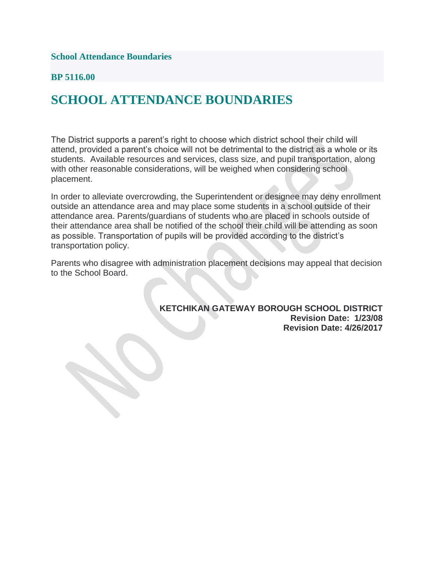**School Attendance Boundaries**

### **BP 5116.00**

## **SCHOOL ATTENDANCE BOUNDARIES**

The District supports a parent's right to choose which district school their child will attend, provided a parent's choice will not be detrimental to the district as a whole or its students. Available resources and services, class size, and pupil transportation, along with other reasonable considerations, will be weighed when considering school placement.

In order to alleviate overcrowding, the Superintendent or designee may deny enrollment outside an attendance area and may place some students in a school outside of their attendance area. Parents/guardians of students who are placed in schools outside of their attendance area shall be notified of the school their child will be attending as soon as possible. Transportation of pupils will be provided according to the district's transportation policy.

Parents who disagree with administration placement decisions may appeal that decision to the School Board.

> **KETCHIKAN GATEWAY BOROUGH SCHOOL DISTRICT Revision Date: 1/23/08 Revision Date: 4/26/2017**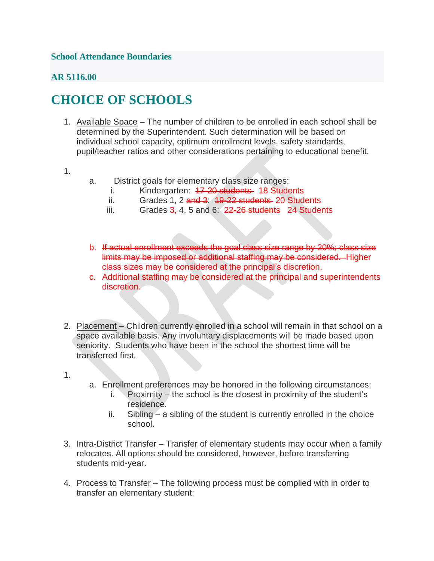## **School Attendance Boundaries**

## **AR 5116.00**

# **CHOICE OF SCHOOLS**

- 1. Available Space The number of children to be enrolled in each school shall be determined by the Superintendent. Such determination will be based on individual school capacity, optimum enrollment levels, safety standards, pupil/teacher ratios and other considerations pertaining to educational benefit.
- 1.
- a. District goals for elementary class size ranges:
	- i. Kindergarten: 47-20 students 18 Students
	- ii. Grades 1, 2  $\frac{1}{2}$  and 3:  $\frac{19-22}{2}$  students 20 Students
	- iii. Grades  $3, 4, 5$  and  $6: 22-26$  students 24 Students
- b. If actual enrollment exceeds the goal class size range by 20%; class size limits may be imposed or additional staffing may be considered. Higher class sizes may be considered at the principal's discretion.
- c. Additional staffing may be considered at the principal and superintendents discretion.
- 2. Placement Children currently enrolled in a school will remain in that school on a space available basis. Any involuntary displacements will be made based upon seniority. Students who have been in the school the shortest time will be transferred first.
- 1.
- a. Enrollment preferences may be honored in the following circumstances:
	- i. Proximity the school is the closest in proximity of the student's residence.
	- ii. Sibling a sibling of the student is currently enrolled in the choice school.
- 3. Intra-District Transfer Transfer of elementary students may occur when a family relocates. All options should be considered, however, before transferring students mid-year.
- 4. Process to Transfer The following process must be complied with in order to transfer an elementary student: